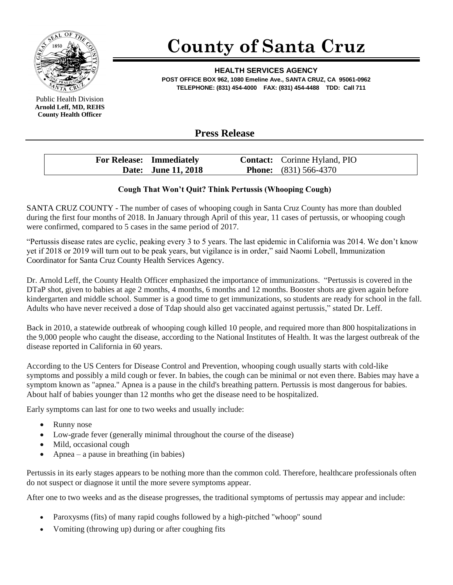

**County of Santa Cruz**

**HEALTH SERVICES AGENCY POST OFFICE BOX 962, 1080 Emeline Ave., SANTA CRUZ, CA 95061-0962 TELEPHONE: (831) 454-4000 FAX: (831) 454-4488 TDD: Call 711**

Public Health Division **Arnold Leff, MD, REHS County Health Officer**

## **Press Release**

| <b>For Release: Immediately</b> | <b>Contact:</b> Corinne Hyland, PIO |
|---------------------------------|-------------------------------------|
| Date: June 11, 2018             | <b>Phone:</b> $(831)$ 566-4370      |

## **Cough That Won't Quit? Think Pertussis (Whooping Cough)**

SANTA CRUZ COUNTY - The number of cases of whooping cough in Santa Cruz County has more than doubled during the first four months of 2018. In January through April of this year, 11 cases of pertussis, or whooping cough were confirmed, compared to 5 cases in the same period of 2017.

"Pertussis disease rates are cyclic, peaking every 3 to 5 years. The last epidemic in California was 2014. We don't know yet if 2018 or 2019 will turn out to be peak years, but vigilance is in order," said Naomi Lobell, Immunization Coordinator for Santa Cruz County Health Services Agency.

Dr. Arnold Leff, the County Health Officer emphasized the importance of immunizations. "Pertussis is covered in the DTaP shot, given to babies at age 2 months, 4 months, 6 months and 12 months. Booster shots are given again before kindergarten and middle school. Summer is a good time to get immunizations, so students are ready for school in the fall. Adults who have never received a dose of Tdap should also get vaccinated against pertussis," stated Dr. Leff.

Back in 2010, a statewide outbreak of whooping cough killed 10 people, and required more than 800 hospitalizations in the 9,000 people who caught the disease, according to the National Institutes of Health. It was the largest outbreak of the disease reported in California in 60 years.

According to the US Centers for Disease Control and Prevention, whooping cough usually starts with cold-like symptoms and possibly a mild cough or fever. In babies, the cough can be minimal or not even there. Babies may have a symptom known as "apnea." Apnea is a pause in the child's breathing pattern. Pertussis is most dangerous for babies. About half of babies younger than 12 months who get the disease need to be hospitalized.

Early symptoms can last for one to two weeks and usually include:

- Runny nose
- Low-grade fever (generally minimal throughout the course of the disease)
- Mild, occasional cough
- Apnea a pause in breathing (in babies)

Pertussis in its early stages appears to be nothing more than the common cold. Therefore, healthcare professionals often do not suspect or diagnose it until the more severe symptoms appear.

After one to two weeks and as the disease progresses, the traditional symptoms of pertussis may appear and include:

- Paroxysms (fits) of many rapid coughs followed by a high-pitched "whoop" sound
- Vomiting (throwing up) during or after coughing fits